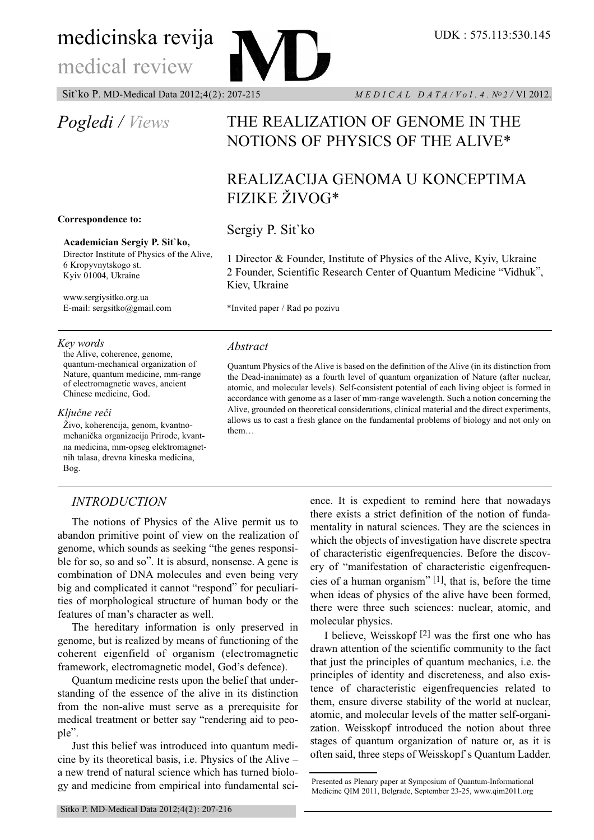# medicinska revija medical review



### Sit`ko P. MD-Medical Data 2012;4(2): 207-215 *MEDICAL D A T A / V ol.4. N<sup>O</sup> 2 /* VI 2012.

*Pogledi / Views*

## THE REALIZATION OF GENOME IN THE NOTIONS OF PHYSICS OF THE ALIVE\*

## REALIZACIJA GENOMA U KONCEPTIMA FIZIKE ŽIVOG\*

## Sergiy P. Sit`ko

1 Director & Founder, Institute of Physics of the Alive, Kyiv, Ukraine 2 Founder, Scientific Research Center of Quantum Medicine "Vidhuk", Kiev, Ukraine

\*Invited paper / Rad po pozivu

*Abstract*

#### *Key words*

the Alive, coherence, genome, quantum-mechanical organization of Nature, quantum medicine, mm-range of electromagnetic waves, ancient Chinese medicine, God.

#### *Ključne reči*

Živo, koherencija, genom, kvantnomehanička organizacija Prirode, kvantna medicina, mm-opseg elektromagnetnih talasa, drevna kineska medicina, Bog.

## *INTRODUCTION*

The notions of Physics of the Alive permit us to abandon primitive point of view on the realization of genome, which sounds as seeking "the genes responsible for so, so and so". It is absurd, nonsense. A gene is combination of DNA molecules and even being very big and complicated it cannot "respond" for peculiarities of morphological structure of human body or the features of man's character as well.

The hereditary information is only preserved in genome, but is realized by means of functioning of the coherent eigenfield of organism (electromagnetic framework, electromagnetic model, God's defence).

Quantum medicine rests upon the belief that understanding of the essence of the alive in its distinction from the non-alive must serve as a prerequisite for medical treatment or better say "rendering aid to people".

Just this belief was introduced into quantum medicine by its theoretical basis, i.e. Physics of the Alive – a new trend of natural science which has turned biology and medicine from empirical into fundamental sci-

Quantum Physics of the Alive is based on the definition of the Alive (in its distinction from the Dead-inanimate) as a fourth level of quantum organization of Nature (after nuclear, atomic, and molecular levels). Self-consistent potential of each living object is formed in accordance with genome as a laser of mm-range wavelength. Such a notion concerning the Alive, grounded on theoretical considerations, clinical material and the direct experiments, allows us to cast a fresh glance on the fundamental problems of biology and not only on them…

> ence. It is expedient to remind here that nowadays there exists a strict definition of the notion of fundamentality in natural sciences. They are the sciences in which the objects of investigation have discrete spectra of characteristic eigenfrequencies. Before the discovery of "manifestation of characteristic eigenfrequencies of a human organism" [1], that is, before the time when ideas of physics of the alive have been formed, there were three such sciences: nuclear, atomic, and molecular physics.

> I believe, Weisskopf [2] was the first one who has drawn attention of the scientific community to the fact that just the principles of quantum mechanics, i.e. the principles of identity and discreteness, and also existence of characteristic eigenfrequencies related to them, ensure diverse stability of the world at nuclear, atomic, and molecular levels of the matter self-organization. Weisskopf introduced the notion about three stages of quantum organization of nature or, as it is often said, three steps of Weisskopf`s Quantum Ladder.

**Correspondence to:**

**Academician Sergiy P. Sit`ko,**

Director Institute of Physics of the Alive, 6 Kropyvnytskogo st. Kyiv 01004, Ukraine

www.sergiysitko.org.ua E-mail: sergsitko@gmail.com

Presented as Plenary paper at Symposium of Quantum-Informational Medicine QIM 2011, Belgrade, September 23-25, www.qim2011.org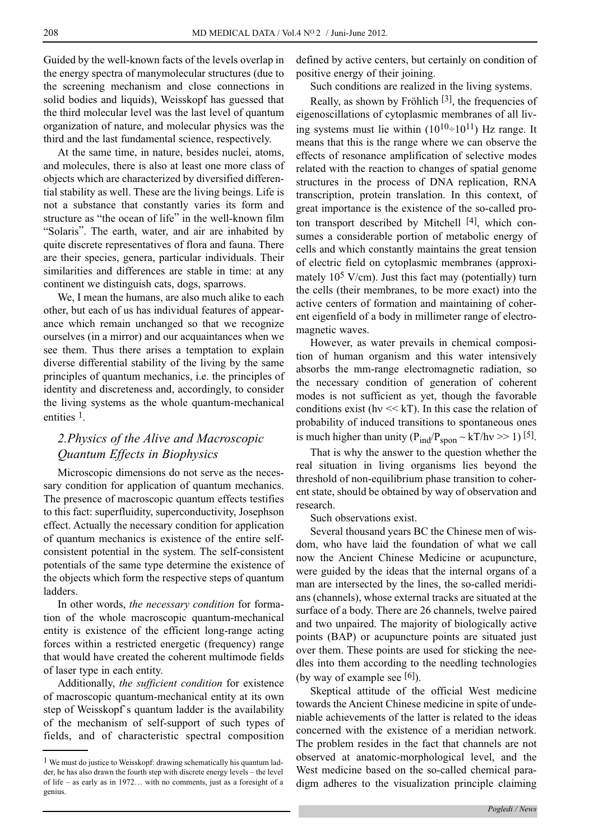Guided by the well-known facts of the levels overlap in the energy spectra of manymolecular structures (due to the screening mechanism and close connections in solid bodies and liquids), Weisskopf has guessed that the third molecular level was the last level of quantum organization of nature, and molecular physics was the third and the last fundamental science, respectively.

At the same time, in nature, besides nuclei, atoms, and molecules, there is also at least one more class of objects which are characterized by diversified differential stability as well. These are the living beings. Life is not a substance that constantly varies its form and structure as "the ocean of life" in the well-known film "Solaris". The earth, water, and air are inhabited by quite discrete representatives of flora and fauna. There are their species, genera, particular individuals. Their similarities and differences are stable in time: at any continent we distinguish cats, dogs, sparrows.

We, I mean the humans, are also much alike to each other, but each of us has individual features of appearance which remain unchanged so that we recognize ourselves (in a mirror) and our acquaintances when we see them. Thus there arises a temptation to explain diverse differential stability of the living by the same principles of quantum mechanics, i.e. the principles of identity and discreteness and, accordingly, to consider the living systems as the whole quantum-mechanical entities <sup>1</sup>.

## *2.Physics of the Alive and Macroscopic Quantum Effects in Biophysics*

Microscopic dimensions do not serve as the necessary condition for application of quantum mechanics. The presence of macroscopic quantum effects testifies to this fact: superfluidity, superconductivity, Josephson effect. Actually the necessary condition for application of quantum mechanics is existence of the entire selfconsistent potential in the system. The self-consistent potentials of the same type determine the existence of the objects which form the respective steps of quantum ladders.

In other words, *the necessary condition* for formation of the whole macroscopic quantum-mechanical entity is existence of the efficient long-range acting forces within a restricted energetic (frequency) range that would have created the coherent multimode fields of laser type in each entity.

Additionally, *the sufficient condition* for existence of macroscopic quantum-mechanical entity at its own step of Weisskopf`s quantum ladder is the availability of the mechanism of self-support of such types of fields, and of characteristic spectral composition defined by active centers, but certainly on condition of positive energy of their joining.

Such conditions are realized in the living systems.

Really, as shown by Fröhlich  $[3]$ , the frequencies of eigenoscillations of cytoplasmic membranes of all living systems must lie within  $(10^{10} \div 10^{11})$  Hz range. It means that this is the range where we can observe the effects of resonance amplification of selective modes related with the reaction to changes of spatial genome structures in the process of DNA replication, RNA transcription, protein translation. In this context, of great importance is the existence of the so-called proton transport described by Mitchell [4], which consumes a considerable portion of metabolic energy of cells and which constantly maintains the great tension of electric field on cytoplasmic membranes (approximately  $10^5$  V/cm). Just this fact may (potentially) turn the cells (their membranes, to be more exact) into the active centers of formation and maintaining of coherent eigenfield of a body in millimeter range of electromagnetic waves.

However, as water prevails in chemical composition of human organism and this water intensively absorbs the mm-range electromagnetic radiation, so the necessary condition of generation of coherent modes is not sufficient as yet, though the favorable conditions exist ( $hv \ll kT$ ). In this case the relation of probability of induced transitions to spontaneous ones is much higher than unity  $(P_{ind}/P_{\text{spon}} \sim kT/hv >> 1)$  [5].

That is why the answer to the question whether the real situation in living organisms lies beyond the threshold of non-equilibrium phase transition to coherent state, should be obtained by way of observation and research.

Such observations exist.

Several thousand years BC the Chinese men of wisdom, who have laid the foundation of what we call now the Ancient Chinese Medicine or acupuncture, were guided by the ideas that the internal organs of a man are intersected by the lines, the so-called meridians (channels), whose external tracks are situated at the surface of a body. There are 26 channels, twelve paired and two unpaired. The majority of biologically active points (BAP) or acupuncture points are situated just over them. These points are used for sticking the needles into them according to the needling technologies (by way of example see [6]).

Skeptical attitude of the official West medicine towards the Ancient Chinese medicine in spite of undeniable achievements of the latter is related to the ideas concerned with the existence of a meridian network. The problem resides in the fact that channels are not observed at anatomic-morphological level, and the West medicine based on the so-called chemical paradigm adheres to the visualization principle claiming

<sup>1</sup> We must do justice to Weisskopf: drawing schematically his quantum ladder, he has also drawn the fourth step with discrete energy levels – the level of life – as early as in 1972… with no comments, just as a foresight of a genius.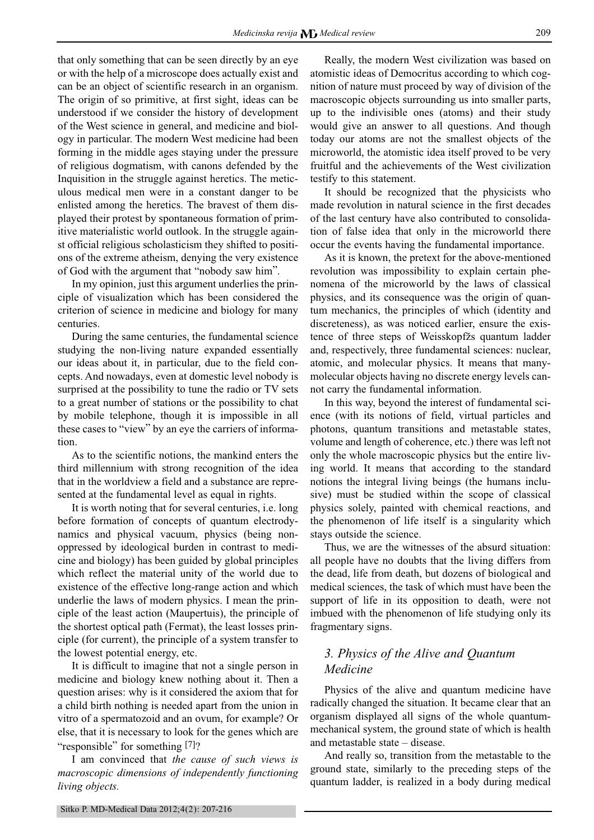that only something that can be seen directly by an eye or with the help of a microscope does actually exist and can be an object of scientific research in an organism. The origin of so primitive, at first sight, ideas can be understood if we consider the history of development of the West science in general, and medicine and biology in particular. The modern West medicine had been forming in the middle ages staying under the pressure of religious dogmatism, with canons defended by the Inquisition in the struggle against heretics. The meticulous medical men were in a constant danger to be enlisted among the heretics. The bravest of them displayed their protest by spontaneous formation of primitive materialistic world outlook. In the struggle against official religious scholasticism they shifted to positions of the extreme atheism, denying the very existence of God with the argument that "nobody saw him".

In my opinion, just this argument underlies the principle of visualization which has been considered the criterion of science in medicine and biology for many centuries.

During the same centuries, the fundamental science studying the non-living nature expanded essentially our ideas about it, in particular, due to the field concepts. And nowadays, even at domestic level nobody is surprised at the possibility to tune the radio or TV sets to a great number of stations or the possibility to chat by mobile telephone, though it is impossible in all these cases to "view" by an eye the carriers of information.

As to the scientific notions, the mankind enters the third millennium with strong recognition of the idea that in the worldview a field and a substance are represented at the fundamental level as equal in rights.

It is worth noting that for several centuries, i.e. long before formation of concepts of quantum electrodynamics and physical vacuum, physics (being nonoppressed by ideological burden in contrast to medicine and biology) has been guided by global principles which reflect the material unity of the world due to existence of the effective long-range action and which underlie the laws of modern physics. I mean the principle of the least action (Maupertuis), the principle of the shortest optical path (Fermat), the least losses principle (for current), the principle of a system transfer to the lowest potential energy, etc.

It is difficult to imagine that not a single person in medicine and biology knew nothing about it. Then a question arises: why is it considered the axiom that for a child birth nothing is needed apart from the union in vitro of a spermatozoid and an ovum, for example? Or else, that it is necessary to look for the genes which are "responsible" for something [7]?

I am convinced that *the cause of such views is macroscopic dimensions of independently functioning living objects.*

Really, the modern West civilization was based on atomistic ideas of Democritus according to which cognition of nature must proceed by way of division of the macroscopic objects surrounding us into smaller parts, up to the indivisible ones (atoms) and their study would give an answer to all questions. And though today our atoms are not the smallest objects of the microworld, the atomistic idea itself proved to be very fruitful and the achievements of the West civilization testify to this statement.

It should be recognized that the physicists who made revolution in natural science in the first decades of the last century have also contributed to consolidation of false idea that only in the microworld there occur the events having the fundamental importance.

As it is known, the pretext for the above-mentioned revolution was impossibility to explain certain phenomena of the microworld by the laws of classical physics, and its consequence was the origin of quantum mechanics, the principles of which (identity and discreteness), as was noticed earlier, ensure the existence of three steps of Weisskopfžs quantum ladder and, respectively, three fundamental sciences: nuclear, atomic, and molecular physics. It means that manymolecular objects having no discrete energy levels cannot carry the fundamental information.

In this way, beyond the interest of fundamental science (with its notions of field, virtual particles and photons, quantum transitions and metastable states, volume and length of coherence, etc.) there was left not only the whole macroscopic physics but the entire living world. It means that according to the standard notions the integral living beings (the humans inclusive) must be studied within the scope of classical physics solely, painted with chemical reactions, and the phenomenon of life itself is a singularity which stays outside the science.

Thus, we are the witnesses of the absurd situation: all people have no doubts that the living differs from the dead, life from death, but dozens of biological and medical sciences, the task of which must have been the support of life in its opposition to death, were not imbued with the phenomenon of life studying only its fragmentary signs.

## *3. Physics of the Alive and Quantum Medicine*

Physics of the alive and quantum medicine have radically changed the situation. It became clear that an organism displayed all signs of the whole quantummechanical system, the ground state of which is health and metastable state – disease.

And really so, transition from the metastable to the ground state, similarly to the preceding steps of the quantum ladder, is realized in a body during medical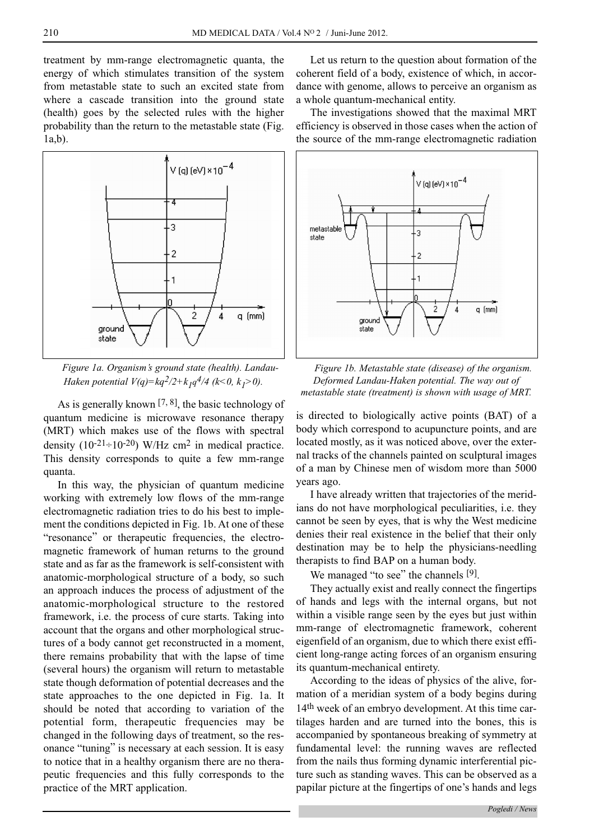treatment by mm-range electromagnetic quanta, the energy of which stimulates transition of the system from metastable state to such an excited state from where a cascade transition into the ground state (health) goes by the selected rules with the higher probability than the return to the metastable state (Fig. 1a,b).



*Figure 1a. Organism's ground state (health). Landau-Haken potential V(q)=kq2/2+k<sup>1</sup> q <sup>4</sup>/4 (k<0, k1>0).*

As is generally known  $[7, 8]$ , the basic technology of quantum medicine is microwave resonance therapy (MRT) which makes use of the flows with spectral density  $(10^{-21} \div 10^{-20})$  W/Hz cm<sup>2</sup> in medical practice. This density corresponds to quite a few mm-range quanta.

In this way, the physician of quantum medicine working with extremely low flows of the mm-range electromagnetic radiation tries to do his best to implement the conditions depicted in Fig. 1b. At one of these "resonance" or therapeutic frequencies, the electromagnetic framework of human returns to the ground state and as far as the framework is self-consistent with anatomic-morphological structure of a body, so such an approach induces the process of adjustment of the anatomic-morphological structure to the restored framework, i.e. the process of cure starts. Taking into account that the organs and other morphological structures of a body cannot get reconstructed in a moment, there remains probability that with the lapse of time (several hours) the organism will return to metastable state though deformation of potential decreases and the state approaches to the one depicted in Fig. 1a. It should be noted that according to variation of the potential form, therapeutic frequencies may be changed in the following days of treatment, so the resonance "tuning" is necessary at each session. It is easy to notice that in a healthy organism there are no therapeutic frequencies and this fully corresponds to the practice of the MRT application.

Let us return to the question about formation of the coherent field of a body, existence of which, in accordance with genome, allows to perceive an organism as a whole quantum-mechanical entity.

The investigations showed that the maximal MRT efficiency is observed in those cases when the action of the source of the mm-range electromagnetic radiation



*Figure 1b. Metastable state (disease) of the organism. Deformed Landau-Haken potential. The way out of metastable state (treatment) is shown with usage of MRT.*

is directed to biologically active points (BAT) of a body which correspond to acupuncture points, and are located mostly, as it was noticed above, over the external tracks of the channels painted on sculptural images of a man by Chinese men of wisdom more than 5000 years ago.

I have already written that trajectories of the meridians do not have morphological peculiarities, i.e. they cannot be seen by eyes, that is why the West medicine denies their real existence in the belief that their only destination may be to help the physicians-needling therapists to find BAP on a human body.

We managed "to see" the channels [9].

They actually exist and really connect the fingertips of hands and legs with the internal organs, but not within a visible range seen by the eyes but just within mm-range of electromagnetic framework, coherent eigenfield of an organism, due to which there exist efficient long-range acting forces of an organism ensuring its quantum-mechanical entirety.

According to the ideas of physics of the alive, formation of a meridian system of a body begins during 14<sup>th</sup> week of an embryo development. At this time cartilages harden and are turned into the bones, this is accompanied by spontaneous breaking of symmetry at fundamental level: the running waves are reflected from the nails thus forming dynamic interferential picture such as standing waves. This can be observed as a papilar picture at the fingertips of one's hands and legs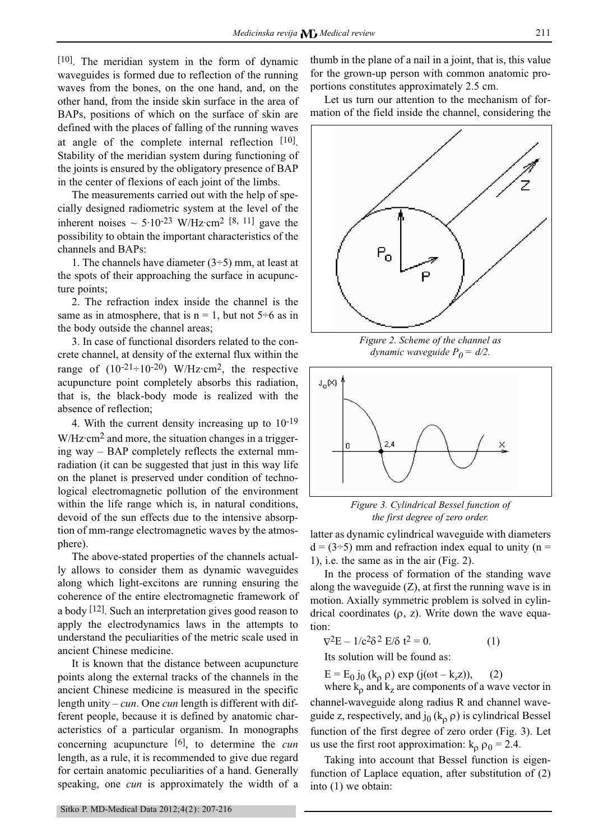[10] . The meridian system in the form of dynamic waveguides is formed due to reflection of the running waves from the bones, on the one hand, and, on the other hand, from the inside skin surface in the area of BAPs, positions of which on the surface of skin are defined with the places of falling of the running waves at angle of the complete internal reflection [10]. Stability of the meridian system during functioning of the joints is ensured by the obligatory presence of BAP in the center of flexions of each joint of the limbs.

The measurements carried out with the help of specially designed radiometric system at the level of the inherent noises  $\sim 5.10^{-23}$  W/Hz·cm<sup>2 [8, 11]</sup> gave the possibility to obtain the important characteristics of the channels and BAPs:

1. The channels have diameter  $(3\div 5)$  mm, at least at the spots of their approaching the surface in acupuncture points;

2. The refraction index inside the channel is the same as in atmosphere, that is  $n = 1$ , but not  $5\div 6$  as in the body outside the channel areas;

3. In case of functional disorders related to the concrete channel, at density of the external flux within the range of  $(10^{-21} \div 10^{-20})$  W/Hz·cm<sup>2</sup>, the respective acupuncture point completely absorbs this radiation, that is, the black-body mode is realized with the absence of reflection;

4. With the current density increasing up to 10-19 W/Hz·cm<sup>2</sup> and more, the situation changes in a triggering way – BAP completely reflects the external mmradiation (it can be suggested that just in this way life on the planet is preserved under condition of technological electromagnetic pollution of the environment within the life range which is, in natural conditions, devoid of the sun effects due to the intensive absorption of mm-range electromagnetic waves by the atmosphere).

The above-stated properties of the channels actually allows to consider them as dynamic waveguides along which light-excitons are running ensuring the coherence of the entire electromagnetic framework of a body <sup>[12]</sup>. Such an interpretation gives good reason to apply the electrodynamics laws in the attempts to understand the peculiarities of the metric scale used in ancient Chinese medicine.

It is known that the distance between acupuncture points along the external tracks of the channels in the ancient Chinese medicine is measured in the specific length unity – *cun*. One *cun* length is different with different people, because it is defined by anatomic characteristics of a particular organism. In monographs concerning acupuncture [6], to determine the *cun* length, as a rule, it is recommended to give due regard for certain anatomic peculiarities of a hand. Generally speaking, one *cun* is approximately the width of a thumb in the plane of a nail in a joint, that is, this value for the grown-up person with common anatomic proportions constitutes approximately 2.5 cm.

Let us turn our attention to the mechanism of formation of the field inside the channel, considering the



*Figure 2. Scheme of the channel as dynamic waveguide*  $P_0 = d/2$ .



*Figure 3. Cylindrical Bessel function of the first degree of zero order.*

latter as dynamic cylindrical waveguide with diameters  $d = (3\div 5)$  mm and refraction index equal to unity (n = 1), i.e. the same as in the air (Fig. 2).

In the process of formation of the standing wave along the waveguide  $(Z)$ , at first the running wave is in motion. Axially symmetric problem is solved in cylindrical coordinates  $(p, z)$ . Write down the wave equation:

$$
\nabla^2 E - 1/c^2 \delta^2 E / \delta t^2 = 0.
$$
 (1)

Its solution will be found as:

 $E = E_0 j_0 (k_\rho \rho) \exp (j(\omega t - k_z z))$ , (2)

where  $k_p$  and  $k_z$  are components of a wave vector in channel-waveguide along radius R and channel waveguide z, respectively, and  $j_0$  ( $k_\rho \rho$ ) is cylindrical Bessel function of the first degree of zero order (Fig. 3). Let us use the first root approximation:  $k_0 \rho_0 = 2.4$ .

Taking into account that Bessel function is eigenfunction of Laplace equation, after substitution of (2) into (1) we obtain: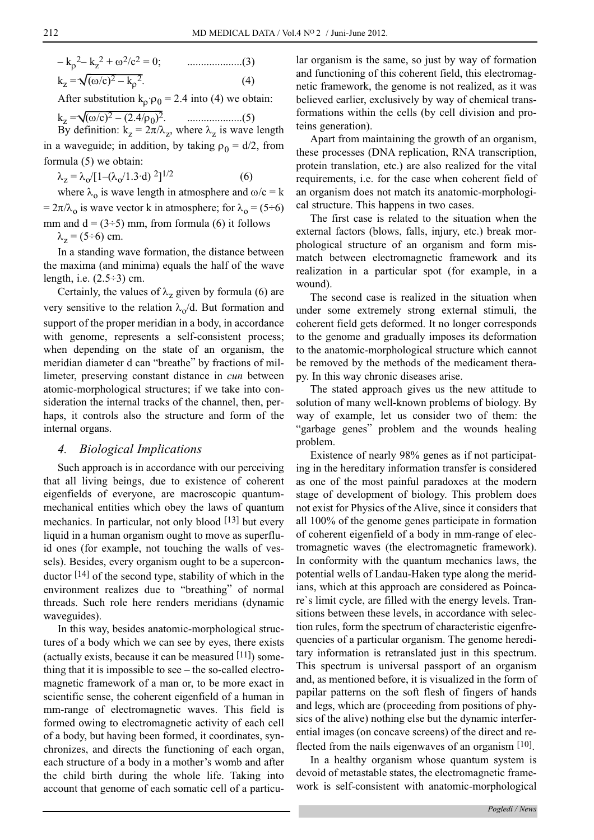– k<sup>ρ</sup> <sup>2</sup>– k<sup>z</sup> 2 + ω2/c2 = 0; ....................(3) k<sup>z</sup> = . (ω/c)<sup>2</sup> – k<sup>ρ</sup> 2. (4)

After substitution  $k_p \cdot \rho_0 = 2.4$  into (4) we obtain:

$$
k_z = \sqrt{(\omega/c)^2 - (2.4/\rho_0)^2}.
$$
 \n
$$
k_z = 2\pi/\lambda_z
$$
, where  $\lambda_z$  is wave length

in a waveguide; in addition, by taking  $\rho_0 = d/2$ , from formula (5) we obtain:

 $\lambda_z = \lambda_0/[1-(\lambda_0/1.3 \cdot d)^2]^{1/2}$  (6)

where  $\lambda_0$  is wave length in atmosphere and  $\omega/c = k$ =  $2\pi/\lambda_0$  is wave vector k in atmosphere; for  $\lambda_0 = (5 \div 6)$ mm and  $d = (3\div 5)$  mm, from formula (6) it follows

 $\lambda_z = (5 \div 6)$  cm.

In a standing wave formation, the distance between the maxima (and minima) equals the half of the wave length, i.e.  $(2.5\div3)$  cm.

Certainly, the values of  $\lambda_z$  given by formula (6) are very sensitive to the relation  $\lambda_0/d$ . But formation and support of the proper meridian in a body, in accordance with genome, represents a self-consistent process; when depending on the state of an organism, the meridian diameter d can "breathe" by fractions of millimeter, preserving constant distance in *cun* between atomic-morphological structures; if we take into consideration the internal tracks of the channel, then, perhaps, it controls also the structure and form of the internal organs.

#### *4. Biological Implications*

Such approach is in accordance with our perceiving that all living beings, due to existence of coherent eigenfields of everyone, are macroscopic quantummechanical entities which obey the laws of quantum mechanics. In particular, not only blood [13] but every liquid in a human organism ought to move as superfluid ones (for example, not touching the walls of vessels). Besides, every organism ought to be a superconductor  $[14]$  of the second type, stability of which in the environment realizes due to "breathing" of normal threads. Such role here renders meridians (dynamic waveguides).

In this way, besides anatomic-morphological structures of a body which we can see by eyes, there exists (actually exists, because it can be measured  $[11]$ ) something that it is impossible to see – the so-called electromagnetic framework of a man or, to be more exact in scientific sense, the coherent eigenfield of a human in mm-range of electromagnetic waves. This field is formed owing to electromagnetic activity of each cell of a body, but having been formed, it coordinates, synchronizes, and directs the functioning of each organ, each structure of a body in a mother's womb and after the child birth during the whole life. Taking into account that genome of each somatic cell of a particular organism is the same, so just by way of formation and functioning of this coherent field, this electromagnetic framework, the genome is not realized, as it was believed earlier, exclusively by way of chemical transformations within the cells (by cell division and proteins generation).

Apart from maintaining the growth of an organism, these processes (DNA replication, RNA transcription, protein translation, etc.) are also realized for the vital requirements, i.e. for the case when coherent field of an organism does not match its anatomic-morphological structure. This happens in two cases.

The first case is related to the situation when the external factors (blows, falls, injury, etc.) break morphological structure of an organism and form mismatch between electromagnetic framework and its realization in a particular spot (for example, in a wound).

The second case is realized in the situation when under some extremely strong external stimuli, the coherent field gets deformed. It no longer corresponds to the genome and gradually imposes its deformation to the anatomic-morphological structure which cannot be removed by the methods of the medicament therapy. In this way chronic diseases arise.

The stated approach gives us the new attitude to solution of many well-known problems of biology. By way of example, let us consider two of them: the "garbage genes" problem and the wounds healing problem.

Existence of nearly 98% genes as if not participating in the hereditary information transfer is considered as one of the most painful paradoxes at the modern stage of development of biology. This problem does not exist for Physics of the Alive, since it considers that all 100% of the genome genes participate in formation of coherent eigenfield of a body in mm-range of electromagnetic waves (the electromagnetic framework). In conformity with the quantum mechanics laws, the potential wells of Landau-Haken type along the meridians, which at this approach are considered as Poincare`s limit cycle, are filled with the energy levels. Transitions between these levels, in accordance with selection rules, form the spectrum of characteristic eigenfrequencies of a particular organism. The genome hereditary information is retranslated just in this spectrum. This spectrum is universal passport of an organism and, as mentioned before, it is visualized in the form of papilar patterns on the soft flesh of fingers of hands and legs, which are (proceeding from positions of physics of the alive) nothing else but the dynamic interferential images (on concave screens) of the direct and reflected from the nails eigenwaves of an organism [10].

In a healthy organism whose quantum system is devoid of metastable states, the electromagnetic framework is self-consistent with anatomic-morphological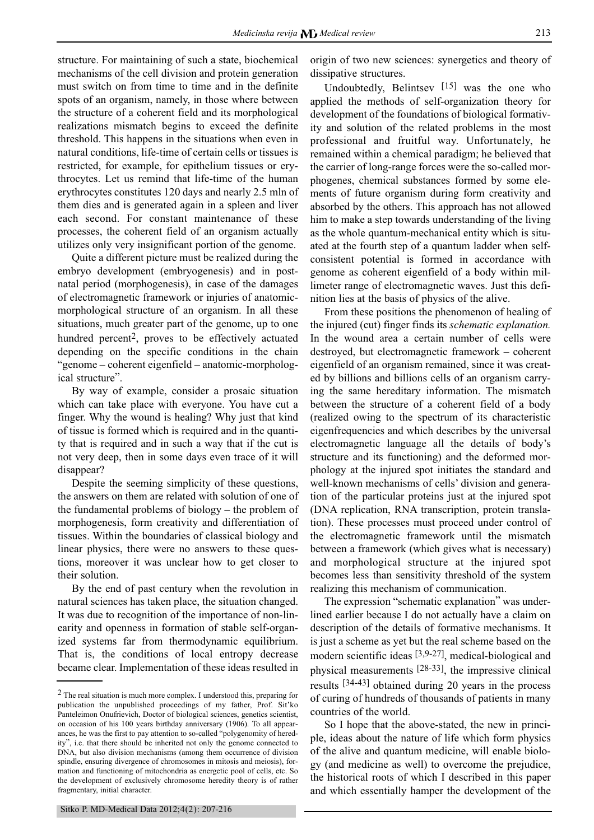structure. For maintaining of such a state, biochemical mechanisms of the cell division and protein generation must switch on from time to time and in the definite spots of an organism, namely, in those where between the structure of a coherent field and its morphological realizations mismatch begins to exceed the definite threshold. This happens in the situations when even in natural conditions, life-time of certain cells or tissues is restricted, for example, for epithelium tissues or erythrocytes. Let us remind that life-time of the human erythrocytes constitutes 120 days and nearly 2.5 mln of them dies and is generated again in a spleen and liver each second. For constant maintenance of these processes, the coherent field of an organism actually utilizes only very insignificant portion of the genome.

Quite a different picture must be realized during the embryo development (embryogenesis) and in postnatal period (morphogenesis), in case of the damages of electromagnetic framework or injuries of anatomicmorphological structure of an organism. In all these situations, much greater part of the genome, up to one hundred percent<sup>2</sup>, proves to be effectively actuated depending on the specific conditions in the chain "genome – coherent eigenfield – anatomic-morphological structure".

By way of example, consider a prosaic situation which can take place with everyone. You have cut a finger. Why the wound is healing? Why just that kind of tissue is formed which is required and in the quantity that is required and in such a way that if the cut is not very deep, then in some days even trace of it will disappear?

Despite the seeming simplicity of these questions, the answers on them are related with solution of one of the fundamental problems of biology – the problem of morphogenesis, form creativity and differentiation of tissues. Within the boundaries of classical biology and linear physics, there were no answers to these questions, moreover it was unclear how to get closer to their solution.

By the end of past century when the revolution in natural sciences has taken place, the situation changed. It was due to recognition of the importance of non-linearity and openness in formation of stable self-organized systems far from thermodynamic equilibrium. That is, the conditions of local entropy decrease became clear. Implementation of these ideas resulted in origin of two new sciences: synergetics and theory of dissipative structures.

Undoubtedly, Belintsev [15] was the one who applied the methods of self-organization theory for development of the foundations of biological formativity and solution of the related problems in the most professional and fruitful way. Unfortunately, he remained within a chemical paradigm; he believed that the carrier of long-range forces were the so-called morphogenes, chemical substances formed by some elements of future organism during form creativity and absorbed by the others. This approach has not allowed him to make a step towards understanding of the living as the whole quantum-mechanical entity which is situated at the fourth step of a quantum ladder when selfconsistent potential is formed in accordance with genome as coherent eigenfield of a body within millimeter range of electromagnetic waves. Just this definition lies at the basis of physics of the alive.

From these positions the phenomenon of healing of the injured (cut) finger finds its *schematic explanation.* In the wound area a certain number of cells were destroyed, but electromagnetic framework – coherent eigenfield of an organism remained, since it was created by billions and billions cells of an organism carrying the same hereditary information. The mismatch between the structure of a coherent field of a body (realized owing to the spectrum of its characteristic eigenfrequencies and which describes by the universal electromagnetic language all the details of body's structure and its functioning) and the deformed morphology at the injured spot initiates the standard and well-known mechanisms of cells' division and generation of the particular proteins just at the injured spot (DNA replication, RNA transcription, protein translation). These processes must proceed under control of the electromagnetic framework until the mismatch between a framework (which gives what is necessary) and morphological structure at the injured spot becomes less than sensitivity threshold of the system realizing this mechanism of communication.

The expression "schematic explanation" was underlined earlier because I do not actually have a claim on description of the details of formative mechanisms. It is just a scheme as yet but the real scheme based on the modern scientific ideas [3,9-27], medical-biological and physical measurements [28-33], the impressive clinical results [34-43] obtained during 20 years in the process of curing of hundreds of thousands of patients in many countries of the world.

So I hope that the above-stated, the new in principle, ideas about the nature of life which form physics of the alive and quantum medicine, will enable biology (and medicine as well) to overcome the prejudice, the historical roots of which I described in this paper and which essentially hamper the development of the

<sup>2</sup> The real situation is much more complex. I understood this, preparing for publication the unpublished proceedings of my father, Prof. Sit'ko Panteleimon Onufrievich, Doctor of biological sciences, genetics scientist, on occasion of his 100 years birthday anniversary (1906). To all appearances, he was the first to pay attention to so-called "polygenomity of heredity", i.e. that there should be inherited not only the genome connected to DNA, but also division mechanisms (among them occurrence of division spindle, ensuring divergence of chromosomes in mitosis and meiosis), formation and functioning of mitochondria as energetic pool of cells, etc. So the development of exclusively chromosome heredity theory is of rather fragmentary, initial character.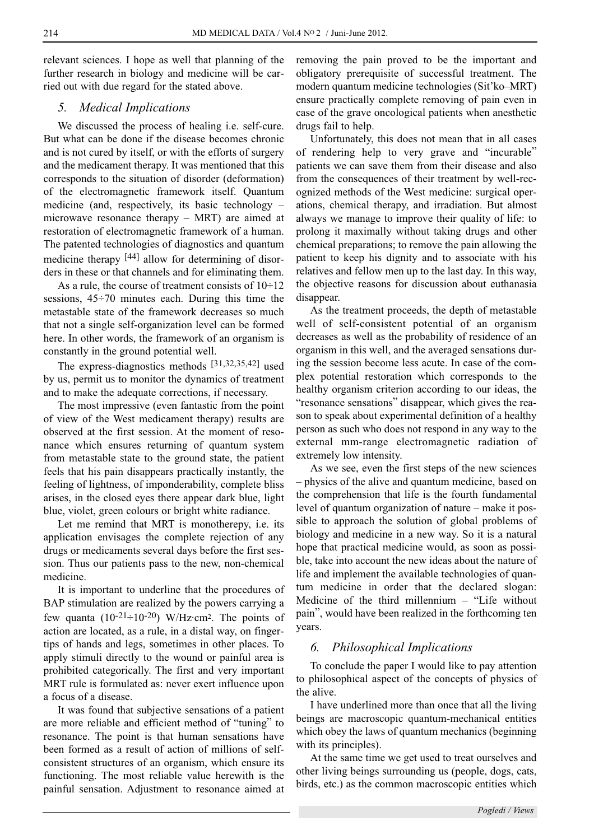relevant sciences. I hope as well that planning of the further research in biology and medicine will be carried out with due regard for the stated above.

## *5. Medical Implications*

We discussed the process of healing i.e. self-cure. But what can be done if the disease becomes chronic and is not cured by itself, or with the efforts of surgery and the medicament therapy. It was mentioned that this corresponds to the situation of disorder (deformation) of the electromagnetic framework itself. Quantum medicine (and, respectively, its basic technology – microwave resonance therapy – MRT) are aimed at restoration of electromagnetic framework of a human. The patented technologies of diagnostics and quantum medicine therapy [44] allow for determining of disorders in these or that channels and for eliminating them.

As a rule, the course of treatment consists of  $10 \div 12$ sessions, 45÷70 minutes each. During this time the metastable state of the framework decreases so much that not a single self-organization level can be formed here. In other words, the framework of an organism is constantly in the ground potential well.

The express-diagnostics methods [31,32,35,42] used by us, permit us to monitor the dynamics of treatment and to make the adequate corrections, if necessary.

The most impressive (even fantastic from the point of view of the West medicament therapy) results are observed at the first session. At the moment of resonance which ensures returning of quantum system from metastable state to the ground state, the patient feels that his pain disappears practically instantly, the feeling of lightness, of imponderability, complete bliss arises, in the closed eyes there appear dark blue, light blue, violet, green colours or bright white radiance.

Let me remind that MRT is monotherepy, i.e. its application envisages the complete rejection of any drugs or medicaments several days before the first session. Thus our patients pass to the new, non-chemical medicine.

It is important to underline that the procedures of BAP stimulation are realized by the powers carrying a few quanta  $(10^{-21} \div 10^{-20})$  W/Hz·cm<sup>2</sup>. The points of action are located, as a rule, in a distal way, on fingertips of hands and legs, sometimes in other places. To apply stimuli directly to the wound or painful area is prohibited categorically. The first and very important MRT rule is formulated as: never exert influence upon a focus of a disease.

It was found that subjective sensations of a patient are more reliable and efficient method of "tuning" to resonance. The point is that human sensations have been formed as a result of action of millions of selfconsistent structures of an organism, which ensure its functioning. The most reliable value herewith is the painful sensation. Adjustment to resonance aimed at removing the pain proved to be the important and obligatory prerequisite of successful treatment. The modern quantum medicine technologies (Sit'ko–MRT) ensure practically complete removing of pain even in case of the grave oncological patients when anesthetic drugs fail to help.

Unfortunately, this does not mean that in all cases of rendering help to very grave and "incurable" patients we can save them from their disease and also from the consequences of their treatment by well-recognized methods of the West medicine: surgical operations, chemical therapy, and irradiation. But almost always we manage to improve their quality of life: to prolong it maximally without taking drugs and other chemical preparations; to remove the pain allowing the patient to keep his dignity and to associate with his relatives and fellow men up to the last day. In this way, the objective reasons for discussion about euthanasia disappear.

As the treatment proceeds, the depth of metastable well of self-consistent potential of an organism decreases as well as the probability of residence of an organism in this well, and the averaged sensations during the session become less acute. In case of the complex potential restoration which corresponds to the healthy organism criterion according to our ideas, the "resonance sensations" disappear, which gives the reason to speak about experimental definition of a healthy person as such who does not respond in any way to the external mm-range electromagnetic radiation of extremely low intensity.

As we see, even the first steps of the new sciences – physics of the alive and quantum medicine, based on the comprehension that life is the fourth fundamental level of quantum organization of nature – make it possible to approach the solution of global problems of biology and medicine in a new way. So it is a natural hope that practical medicine would, as soon as possible, take into account the new ideas about the nature of life and implement the available technologies of quantum medicine in order that the declared slogan: Medicine of the third millennium – "Life without pain", would have been realized in the forthcoming ten years.

### *6. Philosophical Implications*

To conclude the paper I would like to pay attention to philosophical aspect of the concepts of physics of the alive.

I have underlined more than once that all the living beings are macroscopic quantum-mechanical entities which obey the laws of quantum mechanics (beginning with its principles).

At the same time we get used to treat ourselves and other living beings surrounding us (people, dogs, cats, birds, etc.) as the common macroscopic entities which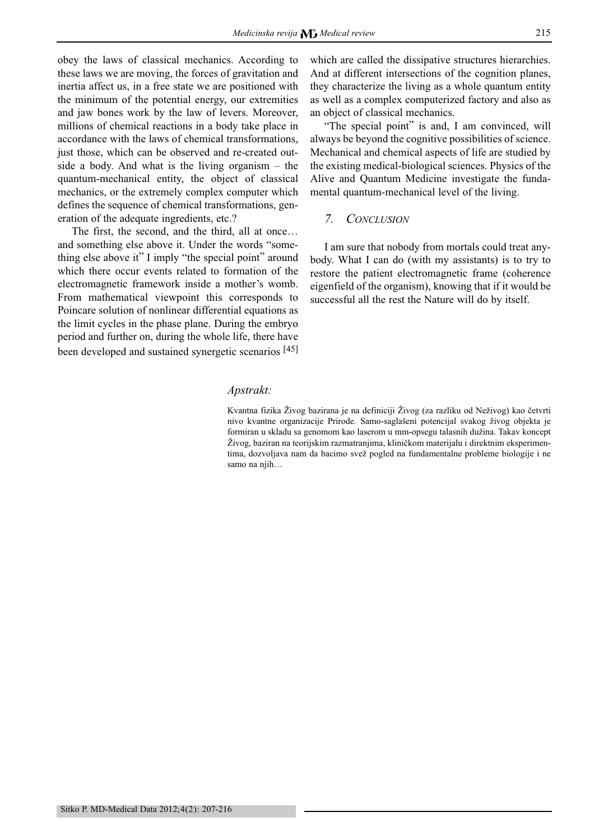obey the laws of classical mechanics. According to these laws we are moving, the forces of gravitation and inertia affect us, in a free state we are positioned with the minimum of the potential energy, our extremities and jaw bones work by the law of levers. Moreover, millions of chemical reactions in a body take place in accordance with the laws of chemical transformations, just those, which can be observed and re-created outside a body. And what is the living organism – the quantum-mechanical entity, the object of classical mechanics, or the extremely complex computer which defines the sequence of chemical transformations, generation of the adequate ingredients, etc.?

The first, the second, and the third, all at once… and something else above it. Under the words "something else above it" I imply "the special point" around which there occur events related to formation of the electromagnetic framework inside a mother's womb. From mathematical viewpoint this corresponds to Poincare solution of nonlinear differential equations as the limit cycles in the phase plane. During the embryo period and further on, during the whole life, there have been developed and sustained synergetic scenarios [45] which are called the dissipative structures hierarchies. And at different intersections of the cognition planes, they characterize the living as a whole quantum entity as well as a complex computerized factory and also as an object of classical mechanics.

"The special point" is and, I am convinced, will always be beyond the cognitive possibilities of science. Mechanical and chemical aspects of life are studied by the existing medical-biological sciences. Physics of the Alive and Quantum Medicine investigate the fundamental quantum-mechanical level of the living.

#### *7. CONCLUSION*

I am sure that nobody from mortals could treat anybody. What I can do (with my assistants) is to try to restore the patient electromagnetic frame (coherence eigenfield of the organism), knowing that if it would be successful all the rest the Nature will do by itself.

#### *Apstrakt:*

Kvantna fizika Živog bazirana je na definiciji Živog (za razliku od Neživog) kao četvrti nivo kvantne organizacije Prirode. Samo-saglašeni potencijal svakog živog objekta je formiran u skladu sa genomom kao laserom u mm-opsegu talasnih dužina. Takav koncept Živog, baziran na teorijskim razmatranjima, kliničkom materijalu i direktnim eksperimentima, dozvoljava nam da bacimo svež pogled na fundamentalne probleme biologije i ne samo na njih…